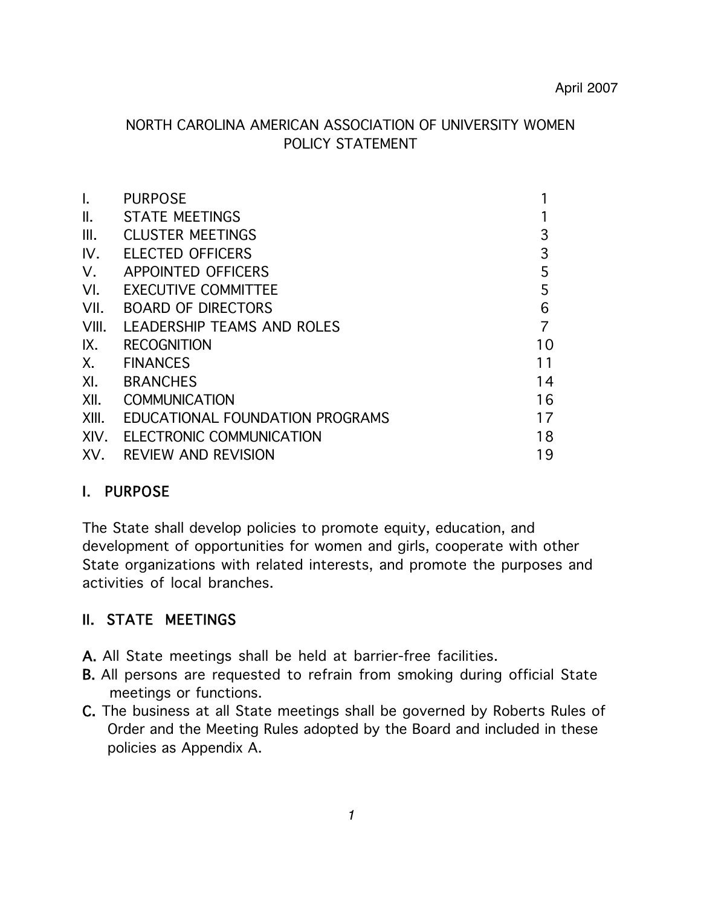### NORTH CAROLINA AMERICAN ASSOCIATION OF UNIVERSITY WOMEN POLICY STATEMENT

| $\mathbf{L}$   | <b>PURPOSE</b>                  |                |
|----------------|---------------------------------|----------------|
| $\mathbb{I}$ . | <b>STATE MEETINGS</b>           |                |
| III.           | <b>CLUSTER MEETINGS</b>         | 3              |
| IV.            | <b>ELECTED OFFICERS</b>         | 3              |
| V.             | <b>APPOINTED OFFICERS</b>       | 5              |
| VI.            | <b>EXECUTIVE COMMITTEE</b>      | 5              |
| VII.           | <b>BOARD OF DIRECTORS</b>       | 6              |
| VIII.          | LEADERSHIP TEAMS AND ROLES      | $\overline{7}$ |
| IX.            | <b>RECOGNITION</b>              | 10             |
|                | X. FINANCES                     | 11             |
| XI.            | <b>BRANCHES</b>                 | 14             |
| XII.           | <b>COMMUNICATION</b>            | 16             |
| XIII.          | EDUCATIONAL FOUNDATION PROGRAMS | 17             |
| XIV.           | <b>ELECTRONIC COMMUNICATION</b> | 18             |
|                | XV. REVIEW AND REVISION         | 19             |

### I. PURPOSE

The State shall develop policies to promote equity, education, and development of opportunities for women and girls, cooperate with other State organizations with related interests, and promote the purposes and activities of local branches.

### II. STATE MEETINGS

- A. All State meetings shall be held at barrier-free facilities.
- B. All persons are requested to refrain from smoking during official State meetings or functions.
- C. The business at all State meetings shall be governed by Roberts Rules of Order and the Meeting Rules adopted by the Board and included in these policies as Appendix A.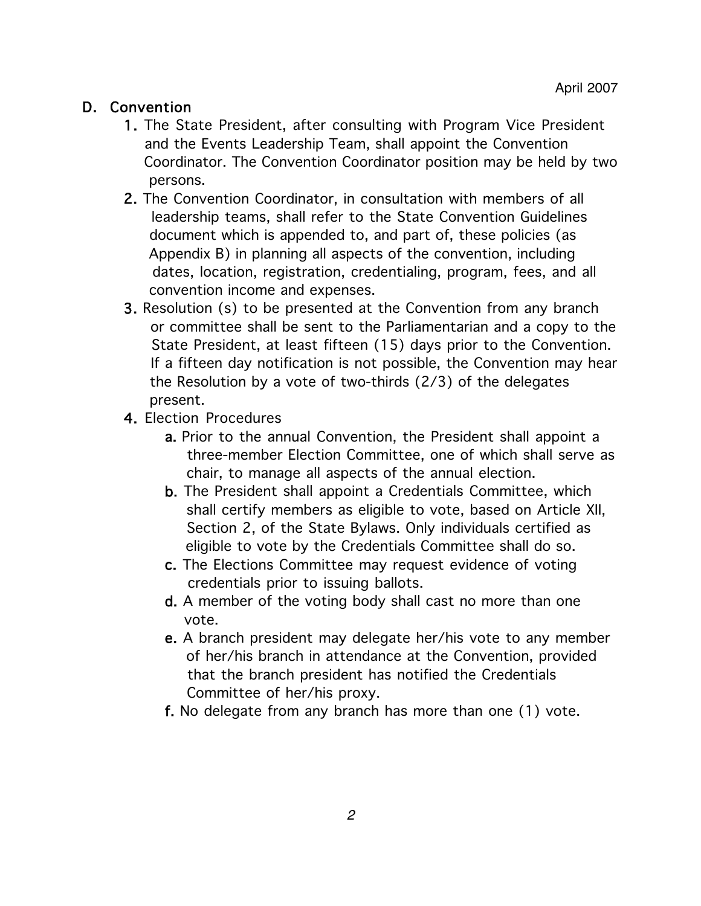### D. Convention

- 1. The State President, after consulting with Program Vice President and the Events Leadership Team, shall appoint the Convention Coordinator. The Convention Coordinator position may be held by two persons.
- 2. The Convention Coordinator, in consultation with members of all leadership teams, shall refer to the State Convention Guidelines document which is appended to, and part of, these policies (as Appendix B) in planning all aspects of the convention, including dates, location, registration, credentialing, program, fees, and all convention income and expenses.
- 3. Resolution (s) to be presented at the Convention from any branch or committee shall be sent to the Parliamentarian and a copy to the State President, at least fifteen (15) days prior to the Convention. If a fifteen day notification is not possible, the Convention may hear the Resolution by a vote of two-thirds (2/3) of the delegates present.
- 4. Election Procedures
	- a. Prior to the annual Convention, the President shall appoint a three-member Election Committee, one of which shall serve as chair, to manage all aspects of the annual election.
	- b. The President shall appoint a Credentials Committee, which shall certify members as eligible to vote, based on Article XII, Section 2, of the State Bylaws. Only individuals certified as eligible to vote by the Credentials Committee shall do so.
	- c. The Elections Committee may request evidence of voting credentials prior to issuing ballots.
	- d. A member of the voting body shall cast no more than one vote.
	- e. A branch president may delegate her/his vote to any member of her/his branch in attendance at the Convention, provided that the branch president has notified the Credentials Committee of her/his proxy.
	- f. No delegate from any branch has more than one (1) vote.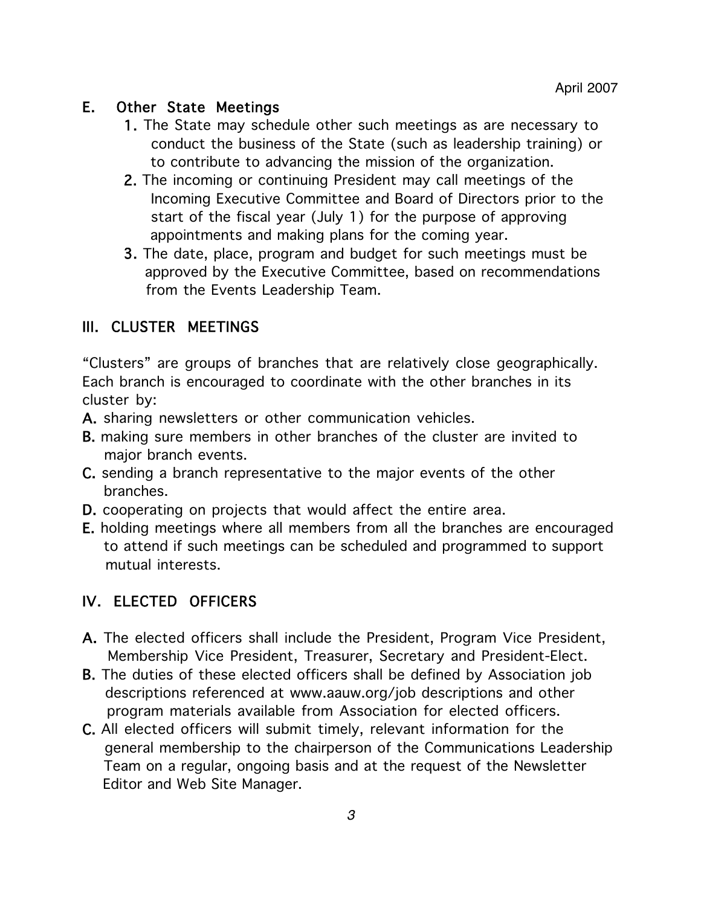### E. Other State Meetings

- 1. The State may schedule other such meetings as are necessary to conduct the business of the State (such as leadership training) or to contribute to advancing the mission of the organization.
- 2. The incoming or continuing President may call meetings of the Incoming Executive Committee and Board of Directors prior to the start of the fiscal year (July 1) for the purpose of approving appointments and making plans for the coming year.
- 3. The date, place, program and budget for such meetings must be approved by the Executive Committee, based on recommendations from the Events Leadership Team.

# III. CLUSTER MEETINGS

"Clusters" are groups of branches that are relatively close geographically. Each branch is encouraged to coordinate with the other branches in its cluster by:

- A. sharing newsletters or other communication vehicles.
- B. making sure members in other branches of the cluster are invited to major branch events.
- C. sending a branch representative to the major events of the other branches.
- D. cooperating on projects that would affect the entire area.
- E. holding meetings where all members from all the branches are encouraged to attend if such meetings can be scheduled and programmed to support mutual interests.

### IV. ELECTED OFFICERS

- A. The elected officers shall include the President, Program Vice President, Membership Vice President, Treasurer, Secretary and President-Elect.
- B. The duties of these elected officers shall be defined by Association job descriptions referenced at www.aauw.org/job descriptions and other program materials available from Association for elected officers.
- C. All elected officers will submit timely, relevant information for the general membership to the chairperson of the Communications Leadership Team on a regular, ongoing basis and at the request of the Newsletter Editor and Web Site Manager.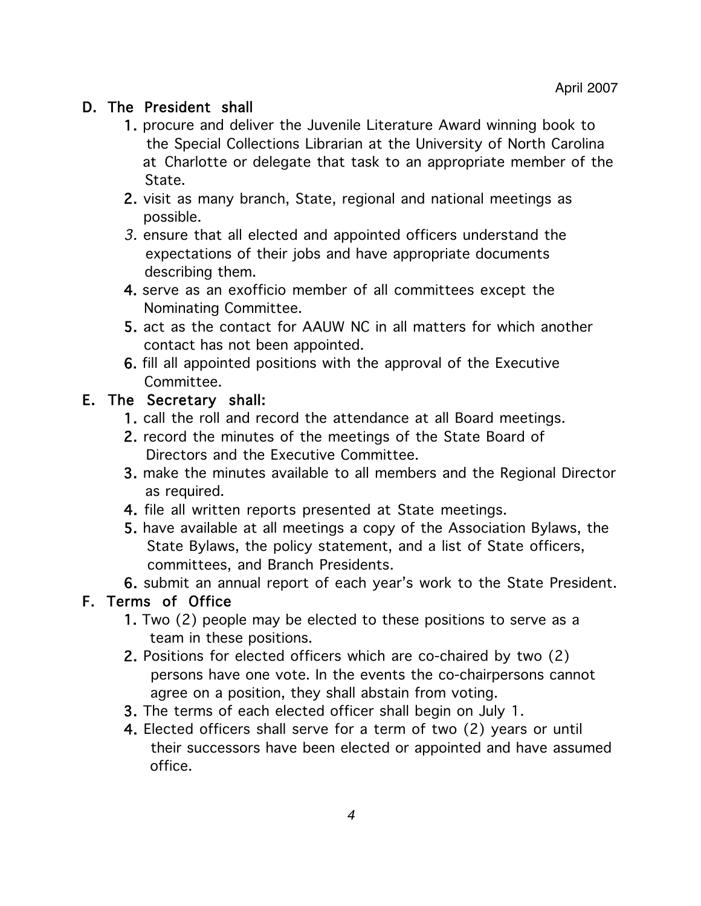### D. The President shall

- 1. procure and deliver the Juvenile Literature Award winning book to the Special Collections Librarian at the University of North Carolina at Charlotte or delegate that task to an appropriate member of the State.
- 2. visit as many branch, State, regional and national meetings as possible.
- 3. ensure that all elected and appointed officers understand the expectations of their jobs and have appropriate documents describing them.
- 4. serve as an exofficio member of all committees except the Nominating Committee.
- 5. act as the contact for AAUW NC in all matters for which another contact has not been appointed.
- 6. fill all appointed positions with the approval of the Executive Committee.

### E. The Secretary shall:

- 1. call the roll and record the attendance at all Board meetings.
- 2. record the minutes of the meetings of the State Board of Directors and the Executive Committee.
- 3. make the minutes available to all members and the Regional Director as required.
- 4. file all written reports presented at State meetings.
- 5. have available at all meetings a copy of the Association Bylaws, the State Bylaws, the policy statement, and a list of State officers, committees, and Branch Presidents.
- 6. submit an annual report of each year's work to the State President.

### F. Terms of Office

- 1. Two (2) people may be elected to these positions to serve as a team in these positions.
- 2. Positions for elected officers which are co-chaired by two (2) persons have one vote. In the events the co-chairpersons cannot agree on a position, they shall abstain from voting.
- 3. The terms of each elected officer shall begin on July 1.
- 4. Elected officers shall serve for a term of two (2) years or until their successors have been elected or appointed and have assumed office.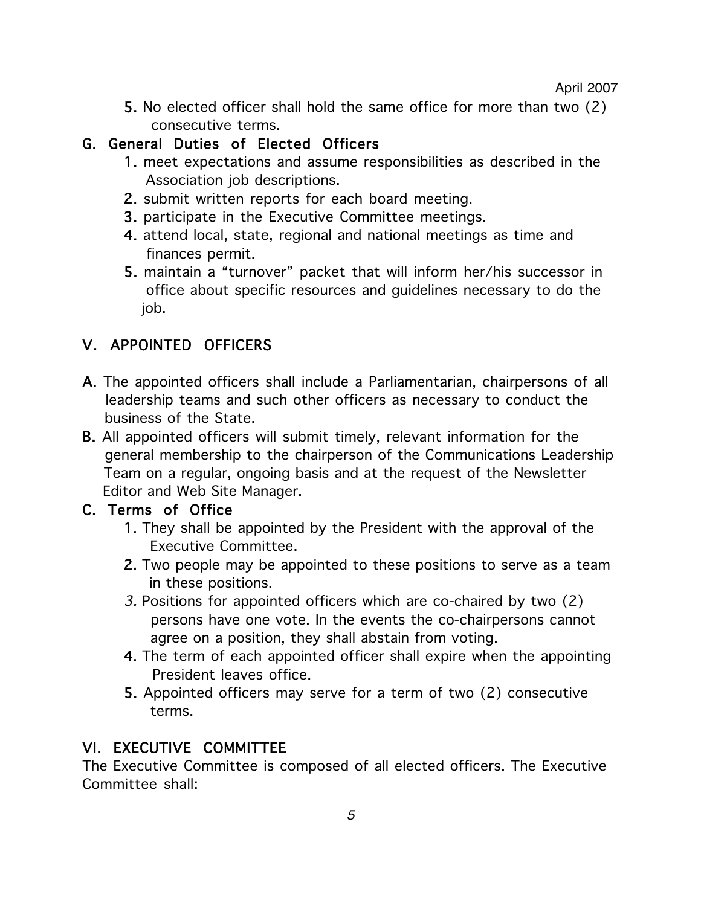#### April 2007

5. No elected officer shall hold the same office for more than two (2) consecutive terms.

# G. General Duties of Elected Officers

- 1. meet expectations and assume responsibilities as described in the Association job descriptions.
- 2. submit written reports for each board meeting.
- 3. participate in the Executive Committee meetings.
- 4. attend local, state, regional and national meetings as time and finances permit.
- 5. maintain a "turnover" packet that will inform her/his successor in office about specific resources and guidelines necessary to do the job.

# V. APPOINTED OFFICERS

- A. The appointed officers shall include a Parliamentarian, chairpersons of all leadership teams and such other officers as necessary to conduct the business of the State.
- B. All appointed officers will submit timely, relevant information for the general membership to the chairperson of the Communications Leadership Team on a regular, ongoing basis and at the request of the Newsletter Editor and Web Site Manager.

### C. Terms of Office

- 1. They shall be appointed by the President with the approval of the Executive Committee.
- 2. Two people may be appointed to these positions to serve as a team in these positions.
- 3. Positions for appointed officers which are co-chaired by two (2) persons have one vote. In the events the co-chairpersons cannot agree on a position, they shall abstain from voting.
- 4. The term of each appointed officer shall expire when the appointing President leaves office.
- 5. Appointed officers may serve for a term of two (2) consecutive terms.

# VI. EXECUTIVE COMMITTEE

The Executive Committee is composed of all elected officers. The Executive Committee shall: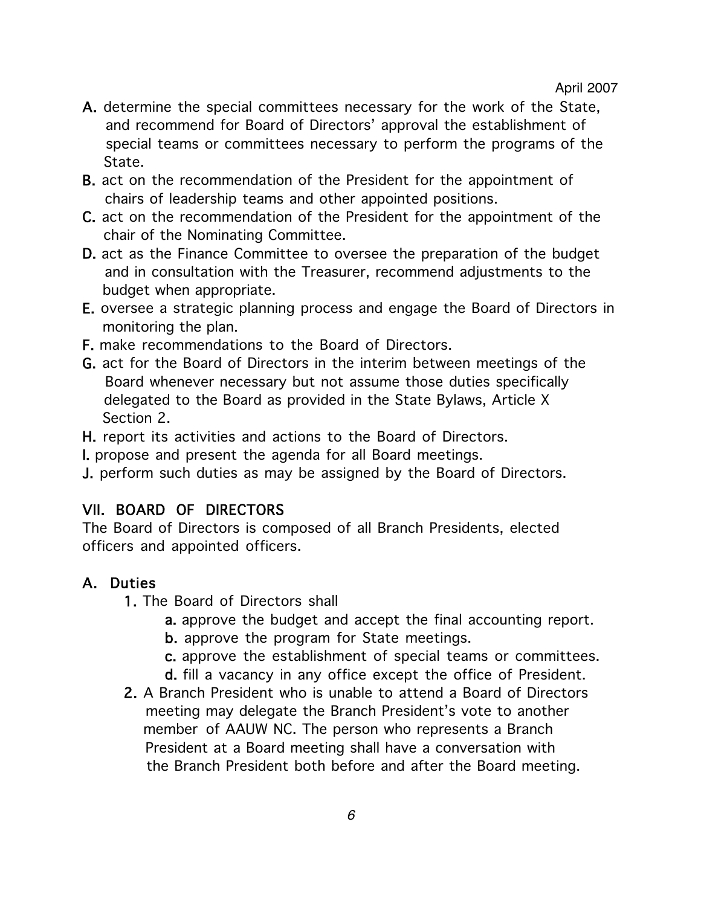- A. determine the special committees necessary for the work of the State, and recommend for Board of Directors' approval the establishment of special teams or committees necessary to perform the programs of the State.
- B. act on the recommendation of the President for the appointment of chairs of leadership teams and other appointed positions.
- C. act on the recommendation of the President for the appointment of the chair of the Nominating Committee.
- D. act as the Finance Committee to oversee the preparation of the budget and in consultation with the Treasurer, recommend adjustments to the budget when appropriate.
- E. oversee a strategic planning process and engage the Board of Directors in monitoring the plan.
- F. make recommendations to the Board of Directors.
- G. act for the Board of Directors in the interim between meetings of the Board whenever necessary but not assume those duties specifically delegated to the Board as provided in the State Bylaws, Article X Section 2.

H. report its activities and actions to the Board of Directors.

I. propose and present the agenda for all Board meetings.

J. perform such duties as may be assigned by the Board of Directors.

# VII. BOARD OF DIRECTORS

The Board of Directors is composed of all Branch Presidents, elected officers and appointed officers.

# A. Duties

- 1. The Board of Directors shall
	- a. approve the budget and accept the final accounting report.
	- b. approve the program for State meetings.
	- c. approve the establishment of special teams or committees.
	- d. fill a vacancy in any office except the office of President.
- 2. A Branch President who is unable to attend a Board of Directors meeting may delegate the Branch President's vote to another member of AAUW NC. The person who represents a Branch President at a Board meeting shall have a conversation with the Branch President both before and after the Board meeting.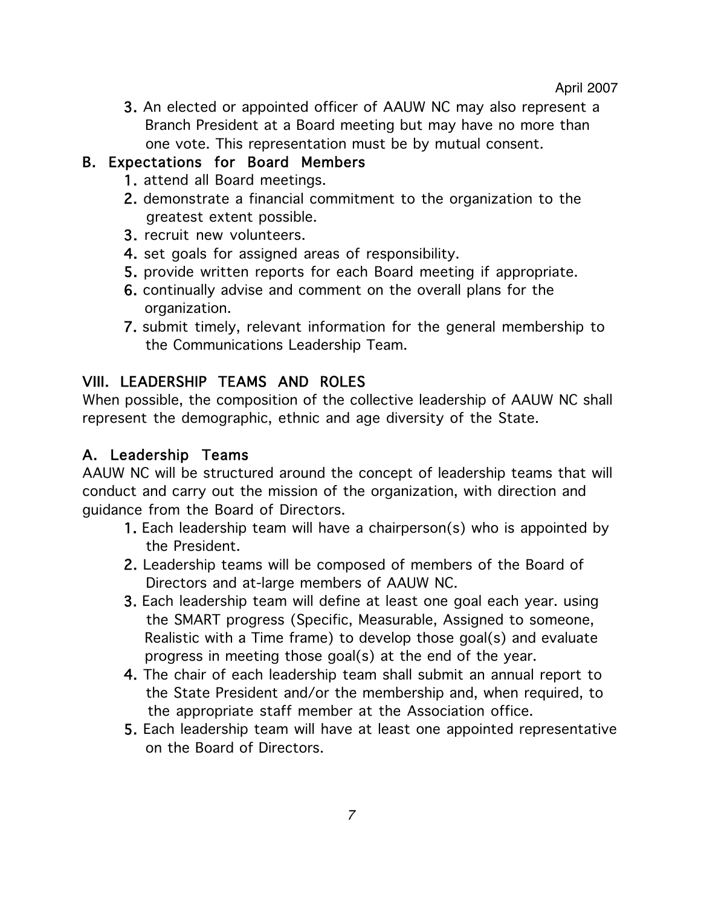3. An elected or appointed officer of AAUW NC may also represent a Branch President at a Board meeting but may have no more than one vote. This representation must be by mutual consent.

## B. Expectations for Board Members

- 1. attend all Board meetings.
- 2. demonstrate a financial commitment to the organization to the greatest extent possible.
- 3. recruit new volunteers.
- 4. set goals for assigned areas of responsibility.
- 5. provide written reports for each Board meeting if appropriate.
- 6. continually advise and comment on the overall plans for the organization.
- 7. submit timely, relevant information for the general membership to the Communications Leadership Team.

# VIII. LEADERSHIP TEAMS AND ROLES

When possible, the composition of the collective leadership of AAUW NC shall represent the demographic, ethnic and age diversity of the State.

# A. Leadership Teams

AAUW NC will be structured around the concept of leadership teams that will conduct and carry out the mission of the organization, with direction and guidance from the Board of Directors.

- 1. Each leadership team will have a chairperson(s) who is appointed by the President.
- 2. Leadership teams will be composed of members of the Board of Directors and at-large members of AAUW NC.
- 3. Each leadership team will define at least one goal each year. using the SMART progress (Specific, Measurable, Assigned to someone, Realistic with a Time frame) to develop those goal(s) and evaluate progress in meeting those goal(s) at the end of the year.
- 4. The chair of each leadership team shall submit an annual report to the State President and/or the membership and, when required, to the appropriate staff member at the Association office.
- 5. Each leadership team will have at least one appointed representative on the Board of Directors.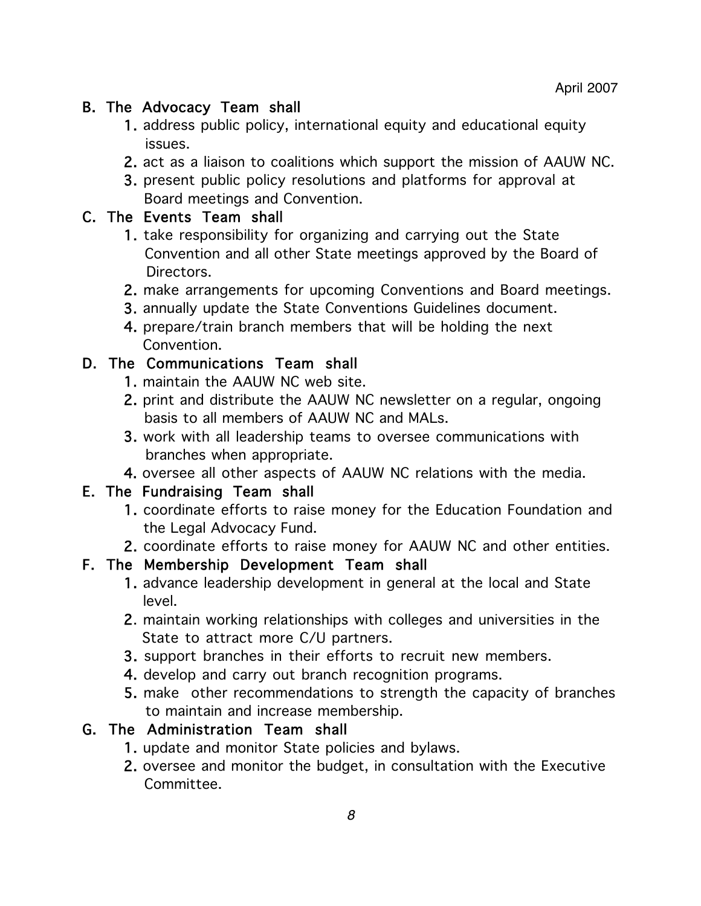## B. The Advocacy Team shall

- 1. address public policy, international equity and educational equity issues.
- 2. act as a liaison to coalitions which support the mission of AAUW NC.
- 3. present public policy resolutions and platforms for approval at Board meetings and Convention.

### C. The Events Team shall

- 1. take responsibility for organizing and carrying out the State Convention and all other State meetings approved by the Board of Directors.
- 2. make arrangements for upcoming Conventions and Board meetings.
- 3. annually update the State Conventions Guidelines document.
- 4. prepare/train branch members that will be holding the next Convention.

### D. The Communications Team shall

- 1. maintain the AAUW NC web site.
- 2. print and distribute the AAUW NC newsletter on a regular, ongoing basis to all members of AAUW NC and MALs.
- 3. work with all leadership teams to oversee communications with branches when appropriate.
- 4. oversee all other aspects of AAUW NC relations with the media.

### E. The Fundraising Team shall

- 1. coordinate efforts to raise money for the Education Foundation and the Legal Advocacy Fund.
- 2. coordinate efforts to raise money for AAUW NC and other entities.

### F. The Membership Development Team shall

- 1. advance leadership development in general at the local and State level.
- 2. maintain working relationships with colleges and universities in the State to attract more C/U partners.
- 3. support branches in their efforts to recruit new members.
- 4. develop and carry out branch recognition programs.
- 5. make other recommendations to strength the capacity of branches to maintain and increase membership.

# G. The Administration Team shall

- 1. update and monitor State policies and bylaws.
- 2. oversee and monitor the budget, in consultation with the Executive Committee.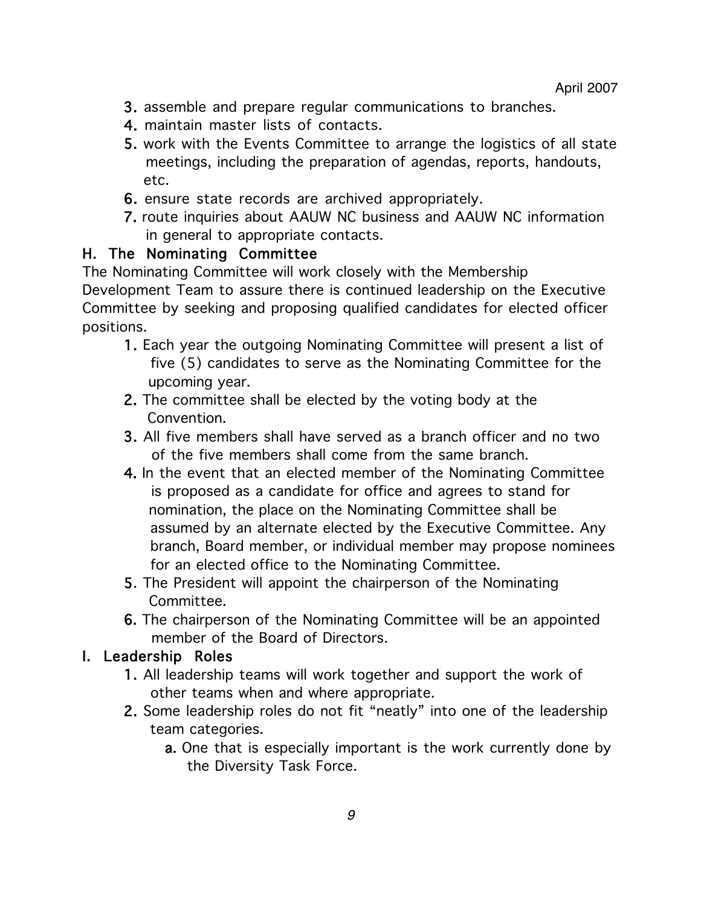- 3. assemble and prepare regular communications to branches.
- 4. maintain master lists of contacts.
- 5. work with the Events Committee to arrange the logistics of all state meetings, including the preparation of agendas, reports, handouts, etc.
- 6. ensure state records are archived appropriately.
- 7. route inquiries about AAUW NC business and AAUW NC information in general to appropriate contacts.

### H. The Nominating Committee

The Nominating Committee will work closely with the Membership Development Team to assure there is continued leadership on the Executive Committee by seeking and proposing qualified candidates for elected officer positions.

- 1. Each year the outgoing Nominating Committee will present a list of five (5) candidates to serve as the Nominating Committee for the upcoming year.
- 2. The committee shall be elected by the voting body at the **Convention**
- 3. All five members shall have served as a branch officer and no two of the five members shall come from the same branch.
- 4. In the event that an elected member of the Nominating Committee is proposed as a candidate for office and agrees to stand for nomination, the place on the Nominating Committee shall be assumed by an alternate elected by the Executive Committee. Any branch, Board member, or individual member may propose nominees for an elected office to the Nominating Committee.
- 5. The President will appoint the chairperson of the Nominating Committee.
- 6. The chairperson of the Nominating Committee will be an appointed member of the Board of Directors.

### I. Leadership Roles

- 1. All leadership teams will work together and support the work of other teams when and where appropriate.
- 2. Some leadership roles do not fit "neatly" into one of the leadership team categories.
	- a. One that is especially important is the work currently done by the Diversity Task Force.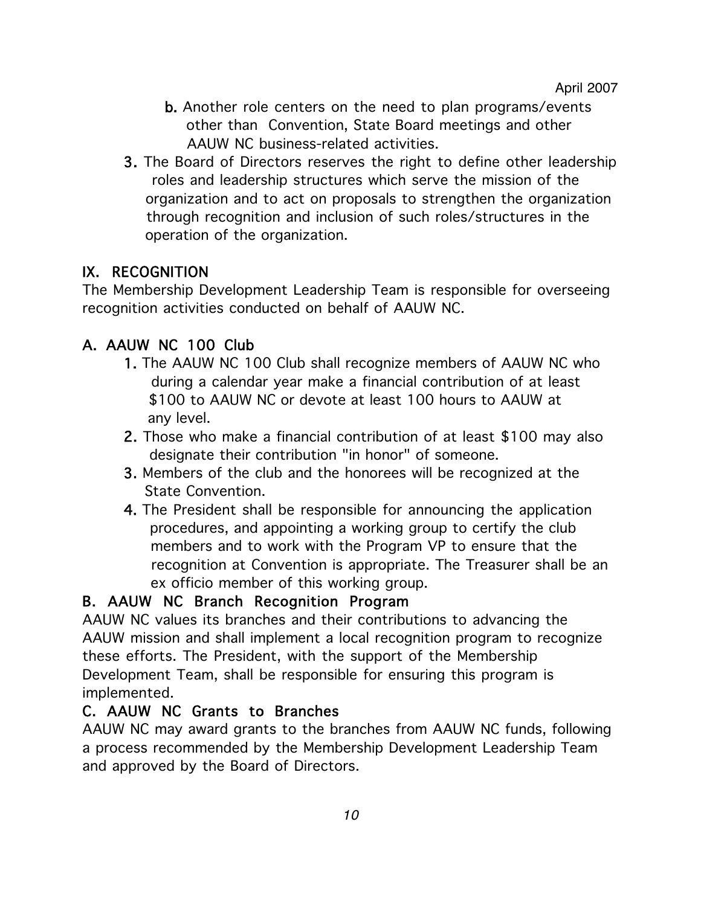- b. Another role centers on the need to plan programs/events other than Convention, State Board meetings and other AAUW NC business-related activities.
- 3. The Board of Directors reserves the right to define other leadership roles and leadership structures which serve the mission of the organization and to act on proposals to strengthen the organization through recognition and inclusion of such roles/structures in the operation of the organization.

# IX. RECOGNITION

The Membership Development Leadership Team is responsible for overseeing recognition activities conducted on behalf of AAUW NC.

# A. AAUW NC 100 Club

- 1. The AAUW NC 100 Club shall recognize members of AAUW NC who during a calendar year make a financial contribution of at least \$100 to AAUW NC or devote at least 100 hours to AAUW at any level.
- 2. Those who make a financial contribution of at least \$100 may also designate their contribution "in honor" of someone.
- 3. Members of the club and the honorees will be recognized at the State Convention.
- 4. The President shall be responsible for announcing the application procedures, and appointing a working group to certify the club members and to work with the Program VP to ensure that the recognition at Convention is appropriate. The Treasurer shall be an ex officio member of this working group.

### B. AAUW NC Branch Recognition Program

AAUW NC values its branches and their contributions to advancing the AAUW mission and shall implement a local recognition program to recognize these efforts. The President, with the support of the Membership Development Team, shall be responsible for ensuring this program is implemented.

### C. AAUW NC Grants to Branches

AAUW NC may award grants to the branches from AAUW NC funds, following a process recommended by the Membership Development Leadership Team and approved by the Board of Directors.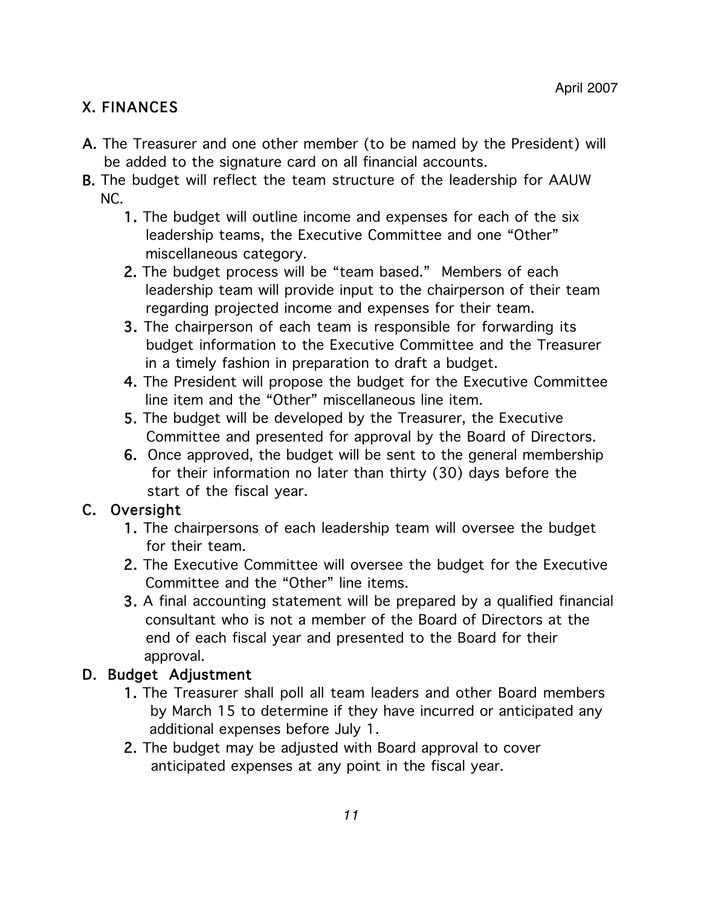# X. FINANCES

- A. The Treasurer and one other member (to be named by the President) will be added to the signature card on all financial accounts.
- B. The budget will reflect the team structure of the leadership for AAUW NC.
	- 1. The budget will outline income and expenses for each of the six leadership teams, the Executive Committee and one "Other" miscellaneous category.
	- 2. The budget process will be "team based." Members of each leadership team will provide input to the chairperson of their team regarding projected income and expenses for their team.
	- 3. The chairperson of each team is responsible for forwarding its budget information to the Executive Committee and the Treasurer in a timely fashion in preparation to draft a budget.
	- 4. The President will propose the budget for the Executive Committee line item and the "Other" miscellaneous line item.
	- 5. The budget will be developed by the Treasurer, the Executive Committee and presented for approval by the Board of Directors.
	- 6. Once approved, the budget will be sent to the general membership for their information no later than thirty (30) days before the start of the fiscal year.

### C. Oversight

- 1. The chairpersons of each leadership team will oversee the budget for their team.
- 2. The Executive Committee will oversee the budget for the Executive Committee and the "Other" line items.
- 3. A final accounting statement will be prepared by a qualified financial consultant who is not a member of the Board of Directors at the end of each fiscal year and presented to the Board for their approval.

# D. Budget Adjustment

- 1. The Treasurer shall poll all team leaders and other Board members by March 15 to determine if they have incurred or anticipated any additional expenses before July 1.
- 2. The budget may be adjusted with Board approval to cover anticipated expenses at any point in the fiscal year.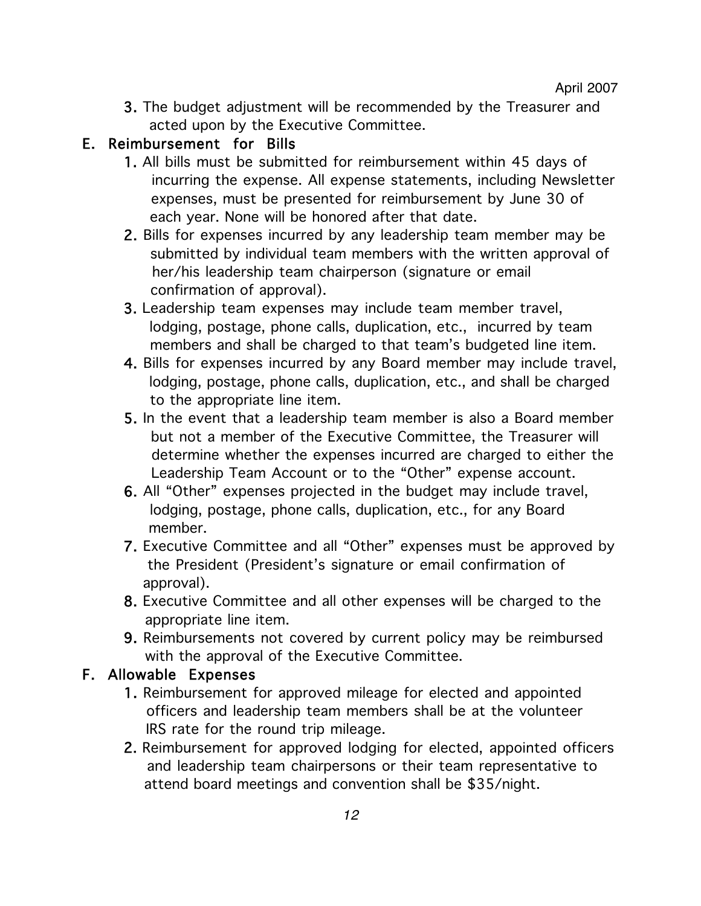3. The budget adjustment will be recommended by the Treasurer and acted upon by the Executive Committee.

### E. Reimbursement for Bills

- 1. All bills must be submitted for reimbursement within 45 days of incurring the expense. All expense statements, including Newsletter expenses, must be presented for reimbursement by June 30 of each year. None will be honored after that date.
- 2. Bills for expenses incurred by any leadership team member may be submitted by individual team members with the written approval of her/his leadership team chairperson (signature or email confirmation of approval).
- 3. Leadership team expenses may include team member travel, lodging, postage, phone calls, duplication, etc., incurred by team members and shall be charged to that team's budgeted line item.
- 4. Bills for expenses incurred by any Board member may include travel, lodging, postage, phone calls, duplication, etc., and shall be charged to the appropriate line item.
- 5. In the event that a leadership team member is also a Board member but not a member of the Executive Committee, the Treasurer will determine whether the expenses incurred are charged to either the Leadership Team Account or to the "Other" expense account.
- 6. All "Other" expenses projected in the budget may include travel, lodging, postage, phone calls, duplication, etc., for any Board member.
- 7. Executive Committee and all "Other" expenses must be approved by the President (President's signature or email confirmation of approval).
- 8. Executive Committee and all other expenses will be charged to the appropriate line item.
- 9. Reimbursements not covered by current policy may be reimbursed with the approval of the Executive Committee.

### F. Allowable Expenses

- 1. Reimbursement for approved mileage for elected and appointed officers and leadership team members shall be at the volunteer IRS rate for the round trip mileage.
- 2. Reimbursement for approved lodging for elected, appointed officers and leadership team chairpersons or their team representative to attend board meetings and convention shall be \$35/night.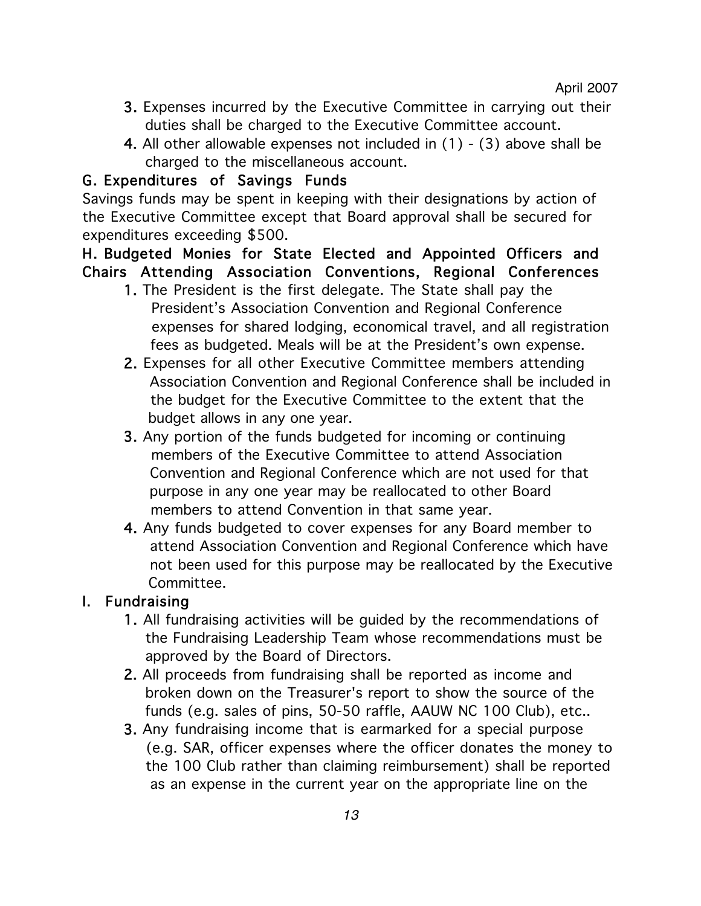April 2007

- 3. Expenses incurred by the Executive Committee in carrying out their duties shall be charged to the Executive Committee account.
- 4. All other allowable expenses not included in (1) (3) above shall be charged to the miscellaneous account.

### G. Expenditures of Savings Funds

Savings funds may be spent in keeping with their designations by action of the Executive Committee except that Board approval shall be secured for expenditures exceeding \$500.

### H. Budgeted Monies for State Elected and Appointed Officers and Chairs Attending Association Conventions, Regional Conferences

- 1. The President is the first delegate. The State shall pay the President's Association Convention and Regional Conference expenses for shared lodging, economical travel, and all registration fees as budgeted. Meals will be at the President's own expense.
- 2. Expenses for all other Executive Committee members attending Association Convention and Regional Conference shall be included in the budget for the Executive Committee to the extent that the budget allows in any one year.
- 3. Any portion of the funds budgeted for incoming or continuing members of the Executive Committee to attend Association Convention and Regional Conference which are not used for that purpose in any one year may be reallocated to other Board members to attend Convention in that same year.
- 4. Any funds budgeted to cover expenses for any Board member to attend Association Convention and Regional Conference which have not been used for this purpose may be reallocated by the Executive Committee.

### I. Fundraising

- 1. All fundraising activities will be guided by the recommendations of the Fundraising Leadership Team whose recommendations must be approved by the Board of Directors.
- 2. All proceeds from fundraising shall be reported as income and broken down on the Treasurer's report to show the source of the funds (e.g. sales of pins, 50-50 raffle, AAUW NC 100 Club), etc..
- 3. Any fundraising income that is earmarked for a special purpose (e.g. SAR, officer expenses where the officer donates the money to the 100 Club rather than claiming reimbursement) shall be reported as an expense in the current year on the appropriate line on the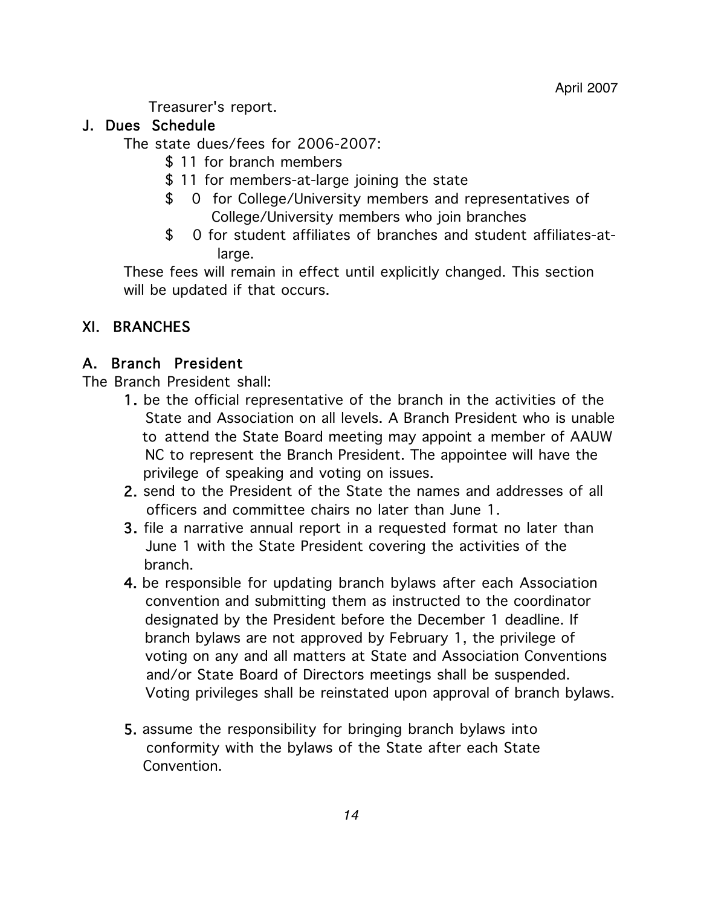Treasurer's report.

## J. Dues Schedule

The state dues/fees for 2006-2007:

- \$ 11 for branch members
- \$ 11 for members-at-large joining the state
- \$ 0 for College/University members and representatives of College/University members who join branches
- \$ 0 for student affiliates of branches and student affiliates-at large.

These fees will remain in effect until explicitly changed. This section will be updated if that occurs.

# XI. BRANCHES

# A. Branch President

The Branch President shall:

- 1. be the official representative of the branch in the activities of the State and Association on all levels. A Branch President who is unable to attend the State Board meeting may appoint a member of AAUW NC to represent the Branch President. The appointee will have the privilege of speaking and voting on issues.
- 2. send to the President of the State the names and addresses of all officers and committee chairs no later than June 1.
- 3. file a narrative annual report in a requested format no later than June 1 with the State President covering the activities of the branch.
- 4. be responsible for updating branch bylaws after each Association convention and submitting them as instructed to the coordinator designated by the President before the December 1 deadline. If branch bylaws are not approved by February 1, the privilege of voting on any and all matters at State and Association Conventions and/or State Board of Directors meetings shall be suspended. Voting privileges shall be reinstated upon approval of branch bylaws.
- 5. assume the responsibility for bringing branch bylaws into conformity with the bylaws of the State after each State Convention.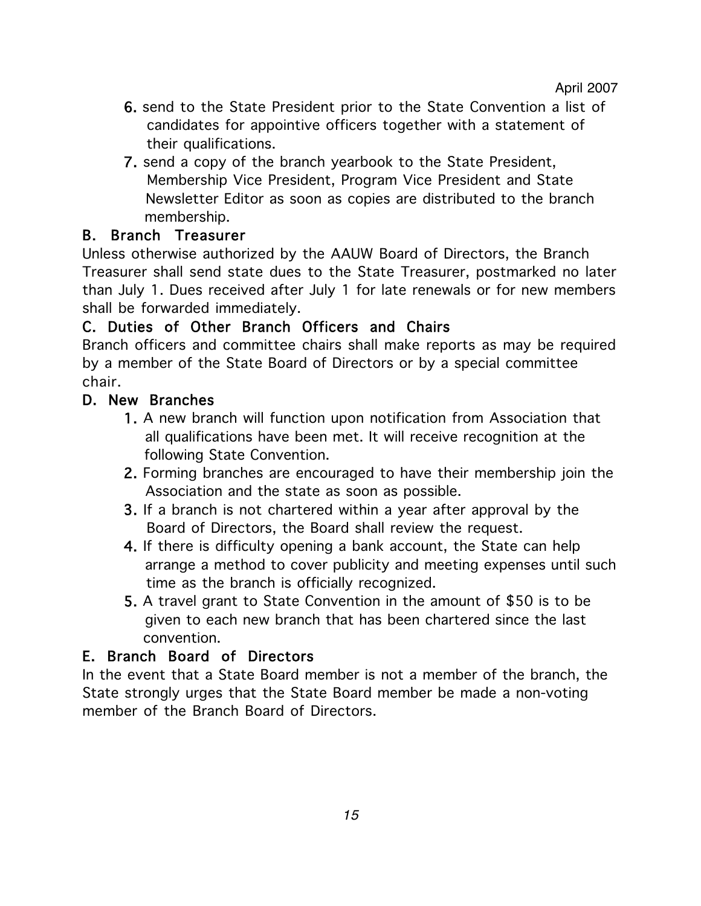- 6. send to the State President prior to the State Convention a list of candidates for appointive officers together with a statement of their qualifications.
- 7. send a copy of the branch yearbook to the State President, Membership Vice President, Program Vice President and State Newsletter Editor as soon as copies are distributed to the branch membership.

# B. Branch Treasurer

Unless otherwise authorized by the AAUW Board of Directors, the Branch Treasurer shall send state dues to the State Treasurer, postmarked no later than July 1. Dues received after July 1 for late renewals or for new members shall be forwarded immediately.

# C. Duties of Other Branch Officers and Chairs

Branch officers and committee chairs shall make reports as may be required by a member of the State Board of Directors or by a special committee chair.

# D. New Branches

- 1. A new branch will function upon notification from Association that all qualifications have been met. It will receive recognition at the following State Convention.
- 2. Forming branches are encouraged to have their membership join the Association and the state as soon as possible.
- 3. If a branch is not chartered within a year after approval by the Board of Directors, the Board shall review the request.
- 4. If there is difficulty opening a bank account, the State can help arrange a method to cover publicity and meeting expenses until such time as the branch is officially recognized.
- 5. A travel grant to State Convention in the amount of \$50 is to be given to each new branch that has been chartered since the last convention.

### E. Branch Board of Directors

In the event that a State Board member is not a member of the branch, the State strongly urges that the State Board member be made a non-voting member of the Branch Board of Directors.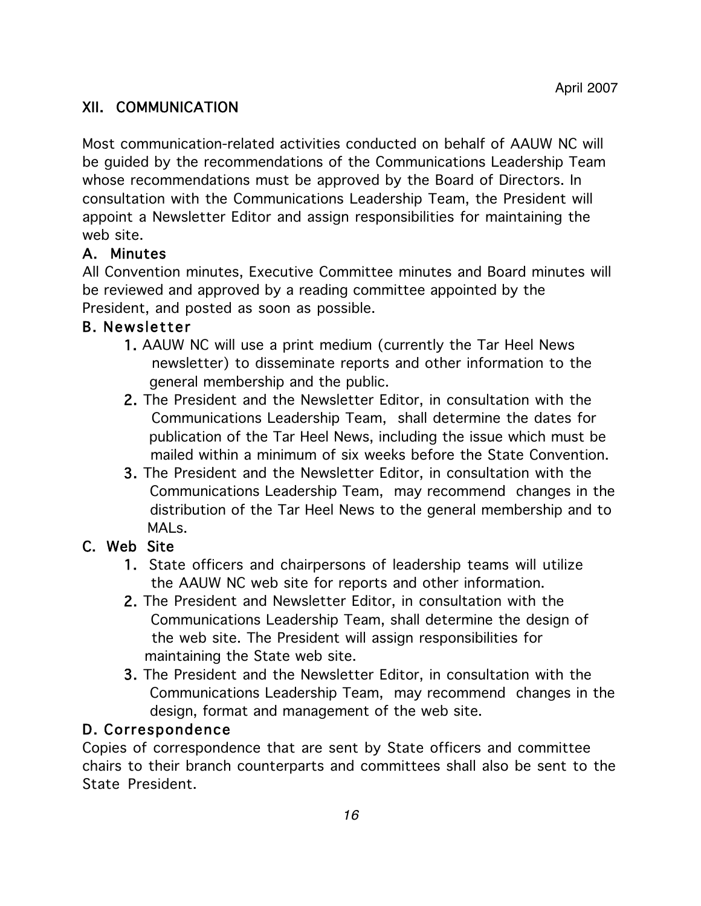# XII. COMMUNICATION

Most communication-related activities conducted on behalf of AAUW NC will be guided by the recommendations of the Communications Leadership Team whose recommendations must be approved by the Board of Directors. In consultation with the Communications Leadership Team, the President will appoint a Newsletter Editor and assign responsibilities for maintaining the web site.

### A. Minutes

All Convention minutes, Executive Committee minutes and Board minutes will be reviewed and approved by a reading committee appointed by the President, and posted as soon as possible.

### **B. Newsletter**

- 1. AAUW NC will use a print medium (currently the Tar Heel News newsletter) to disseminate reports and other information to the general membership and the public.
- 2. The President and the Newsletter Editor, in consultation with the Communications Leadership Team, shall determine the dates for publication of the Tar Heel News, including the issue which must be mailed within a minimum of six weeks before the State Convention.
- 3. The President and the Newsletter Editor, in consultation with the Communications Leadership Team, may recommend changes in the distribution of the Tar Heel News to the general membership and to MAL<sub>S</sub>

### C. Web Site

- 1. State officers and chairpersons of leadership teams will utilize the AAUW NC web site for reports and other information.
- 2. The President and Newsletter Editor, in consultation with the Communications Leadership Team, shall determine the design of the web site. The President will assign responsibilities for maintaining the State web site.
- 3. The President and the Newsletter Editor, in consultation with the Communications Leadership Team, may recommend changes in the design, format and management of the web site.

### D. Correspondence

Copies of correspondence that are sent by State officers and committee chairs to their branch counterparts and committees shall also be sent to the State President.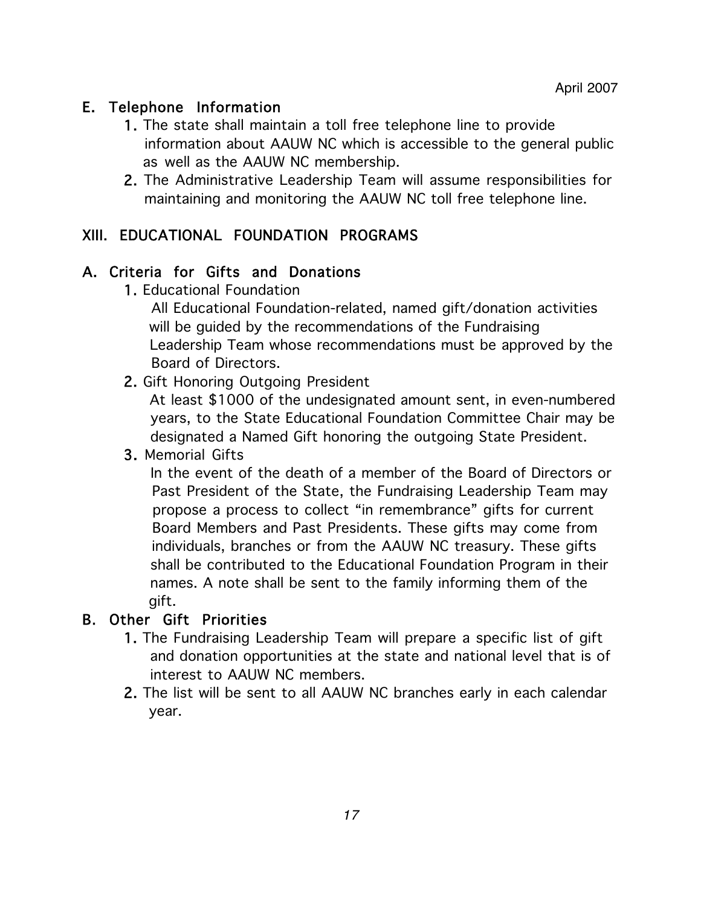### E. Telephone Information

- 1. The state shall maintain a toll free telephone line to provide information about AAUW NC which is accessible to the general public as well as the AAUW NC membership.
- 2. The Administrative Leadership Team will assume responsibilities for maintaining and monitoring the AAUW NC toll free telephone line.

### XIII. EDUCATIONAL FOUNDATION PROGRAMS

### A. Criteria for Gifts and Donations

1. Educational Foundation

 All Educational Foundation-related, named gift/donation activities will be guided by the recommendations of the Fundraising Leadership Team whose recommendations must be approved by the Board of Directors.

2. Gift Honoring Outgoing President

 At least \$1000 of the undesignated amount sent, in even-numbered years, to the State Educational Foundation Committee Chair may be designated a Named Gift honoring the outgoing State President.

### 3. Memorial Gifts

 In the event of the death of a member of the Board of Directors or Past President of the State, the Fundraising Leadership Team may propose a process to collect "in remembrance" gifts for current Board Members and Past Presidents. These gifts may come from individuals, branches or from the AAUW NC treasury. These gifts shall be contributed to the Educational Foundation Program in their names. A note shall be sent to the family informing them of the gift.

### B. Other Gift Priorities

- 1. The Fundraising Leadership Team will prepare a specific list of gift and donation opportunities at the state and national level that is of interest to AAUW NC members.
- 2. The list will be sent to all AAUW NC branches early in each calendar year.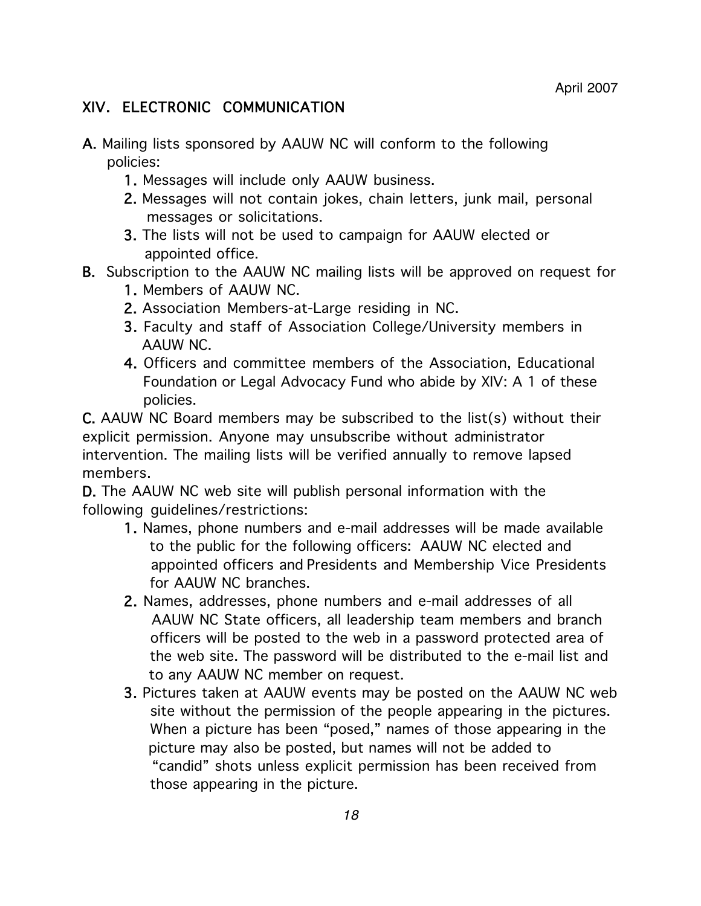## XIV. ELECTRONIC COMMUNICATION

- A. Mailing lists sponsored by AAUW NC will conform to the following policies:
	- 1. Messages will include only AAUW business.
	- 2. Messages will not contain jokes, chain letters, junk mail, personal messages or solicitations.
	- 3. The lists will not be used to campaign for AAUW elected or appointed office.
- B. Subscription to the AAUW NC mailing lists will be approved on request for
	- 1. Members of AAUW NC.
	- 2. Association Members-at-Large residing in NC.
	- 3. Faculty and staff of Association College/University members in AAUW NC.
	- 4. Officers and committee members of the Association, Educational Foundation or Legal Advocacy Fund who abide by XIV: A 1 of these policies.

C. AAUW NC Board members may be subscribed to the list(s) without their explicit permission. Anyone may unsubscribe without administrator intervention. The mailing lists will be verified annually to remove lapsed members.

D. The AAUW NC web site will publish personal information with the following guidelines/restrictions:

- 1. Names, phone numbers and e-mail addresses will be made available to the public for the following officers: AAUW NC elected and appointed officers and Presidents and Membership Vice Presidents for AAUW NC branches.
- 2. Names, addresses, phone numbers and e-mail addresses of all AAUW NC State officers, all leadership team members and branch officers will be posted to the web in a password protected area of the web site. The password will be distributed to the e-mail list and to any AAUW NC member on request.
- 3. Pictures taken at AAUW events may be posted on the AAUW NC web site without the permission of the people appearing in the pictures. When a picture has been "posed," names of those appearing in the picture may also be posted, but names will not be added to "candid" shots unless explicit permission has been received from those appearing in the picture.